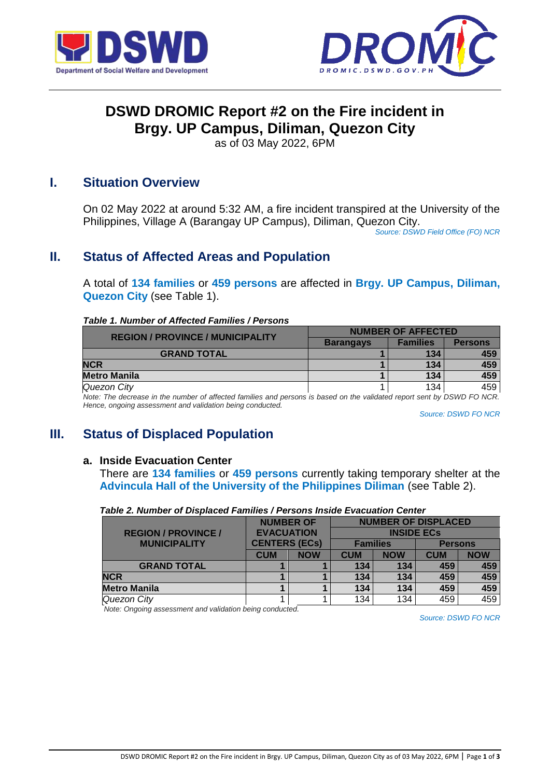



# **DSWD DROMIC Report #2 on the Fire incident in Brgy. UP Campus, Diliman, Quezon City**

as of 03 May 2022, 6PM

## **I. Situation Overview**

On 02 May 2022 at around 5:32 AM, a fire incident transpired at the University of the Philippines, Village A (Barangay UP Campus), Diliman, Quezon City.

*Source: DSWD Field Office (FO) NCR*

# **II. Status of Affected Areas and Population**

A total of **134 families** or **459 persons** are affected in **Brgy. UP Campus, Diliman, Quezon City** (see Table 1).

#### *Table 1. Number of Affected Families / Persons*

| <b>REGION / PROVINCE / MUNICIPALITY</b> | <b>NUMBER OF AFFECTED</b> |                 |                |  |
|-----------------------------------------|---------------------------|-----------------|----------------|--|
|                                         | <b>Barangays</b>          | <b>Families</b> | <b>Persons</b> |  |
| <b>GRAND TOTAL</b>                      |                           | 134             | 459            |  |
| <b>NCR</b>                              |                           | 134             | 459            |  |
| <b>Metro Manila</b>                     |                           | 134             | 459            |  |
| Quezon City                             |                           | 134             | 459            |  |

*Note: The decrease in the number of affected families and persons is based on the validated report sent by DSWD FO NCR. Hence, ongoing assessment and validation being conducted.* 

*Source: DSWD FO NCR*

# **III. Status of Displaced Population**

#### **a. Inside Evacuation Center**

There are **134 families** or **459 persons** currently taking temporary shelter at the **Advincula Hall of the University of the Philippines Diliman** (see Table 2).

|                            |                                           | <b>NUMBER OF</b> | <b>NUMBER OF DISPLACED</b> |                   |                |            |  |
|----------------------------|-------------------------------------------|------------------|----------------------------|-------------------|----------------|------------|--|
| <b>REGION / PROVINCE /</b> | <b>EVACUATION</b><br><b>CENTERS (ECs)</b> |                  |                            | <b>INSIDE ECS</b> |                |            |  |
| <b>MUNICIPALITY</b>        |                                           |                  | <b>Families</b>            |                   | <b>Persons</b> |            |  |
|                            | <b>CUM</b>                                | <b>NOW</b>       | <b>CUM</b>                 | <b>NOW</b>        | <b>CUM</b>     | <b>NOW</b> |  |
| <b>GRAND TOTAL</b>         |                                           |                  | 134                        | 134               | 459            | 459        |  |
| <b>NCR</b>                 |                                           |                  | 134                        | 134               | 459            | 459        |  |
| <b>Metro Manila</b>        |                                           |                  | 134                        | 134               | 459            | 459        |  |
| Quezon City                |                                           |                  | 134                        | 134               | 459            | 459        |  |

*Note: Ongoing assessment and validation being conducted.*

*Source: DSWD FO NCR*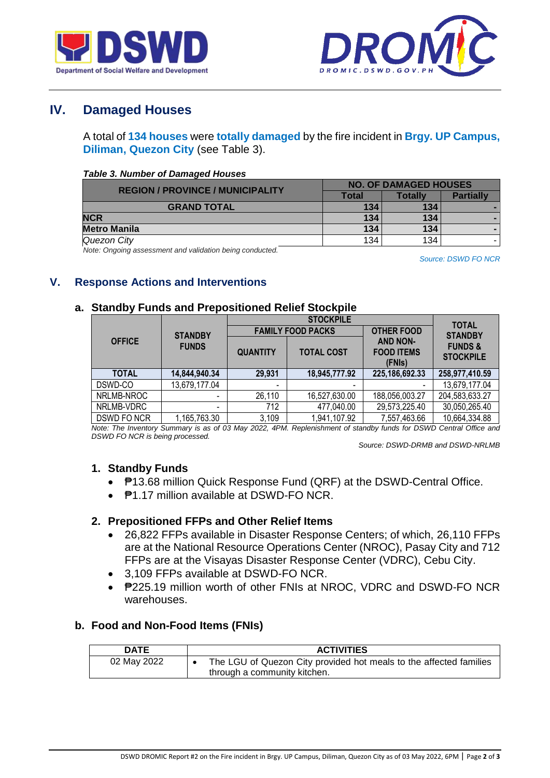



# **IV. Damaged Houses**

A total of **134 houses** were **totally damaged** by the fire incident in **Brgy. UP Campus, Diliman, Quezon City** (see Table 3).

#### *Table 3. Number of Damaged Houses*

| <b>REGION / PROVINCE / MUNICIPALITY</b> | <b>NO. OF DAMAGED HOUSES</b> |         |                  |  |
|-----------------------------------------|------------------------------|---------|------------------|--|
|                                         | Total                        | Totallv | <b>Partially</b> |  |
| <b>GRAND TOTAL</b>                      | 134                          | 134     |                  |  |
| <b>NCR</b>                              | 134                          | 134     |                  |  |
| <b>Metro Manila</b>                     | 134                          | 134     |                  |  |
| Quezon City                             | 134                          | 134     |                  |  |

*Note: Ongoing assessment and validation being conducted.*

*Source: DSWD FO NCR*

### **V. Response Actions and Interventions**

#### **a. Standby Funds and Prepositioned Relief Stockpile**

|               |                                 |                          | <b>STOCKPILE</b>         |                                                | <b>TOTAL</b>                           |  |
|---------------|---------------------------------|--------------------------|--------------------------|------------------------------------------------|----------------------------------------|--|
|               | <b>STANDBY</b>                  |                          | <b>FAMILY FOOD PACKS</b> | <b>OTHER FOOD</b>                              | <b>STANDBY</b>                         |  |
| <b>OFFICE</b> | <b>FUNDS</b><br><b>QUANTITY</b> |                          | <b>TOTAL COST</b>        | <b>AND NON-</b><br><b>FOOD ITEMS</b><br>(FNIs) | <b>FUNDS &amp;</b><br><b>STOCKPILE</b> |  |
| <b>TOTAL</b>  | 14,844,940.34                   | 29,931                   | 18,945,777.92            | 225,186,692.33                                 | 258,977,410.59                         |  |
| DSWD-CO       | 13,679,177.04                   | $\overline{\phantom{0}}$ | $\blacksquare$           |                                                | 13,679,177.04                          |  |
| NRLMB-NROC    |                                 | 26,110                   | 16,527,630.00            | 188,056,003.27                                 | 204,583,633.27                         |  |
| NRLMB-VDRC    | $\overline{\phantom{0}}$        | 712                      | 477,040.00               | 29,573,225.40                                  | 30,050,265.40                          |  |
| DSWD FO NCR   | 1,165,763.30                    | 3,109                    | 1,941,107.92             | 7,557,463.66                                   | 10,664,334.88                          |  |

*Note: The Inventory Summary is as of 03 May 2022, 4PM. Replenishment of standby funds for DSWD Central Office and DSWD FO NCR is being processed.*

 *Source: DSWD-DRMB and DSWD-NRLMB*

### **1. Standby Funds**

- ₱13.68 million Quick Response Fund (QRF) at the DSWD-Central Office.
- ₱1.17 million available at DSWD-FO NCR.

### **2. Prepositioned FFPs and Other Relief Items**

- 26,822 FFPs available in Disaster Response Centers; of which, 26,110 FFPs are at the National Resource Operations Center (NROC), Pasay City and 712 FFPs are at the Visayas Disaster Response Center (VDRC), Cebu City.
- 3,109 FFPs available at DSWD-FO NCR.
- P225.19 million worth of other FNIs at NROC, VDRC and DSWD-FO NCR warehouses.

### **b. Food and Non-Food Items (FNIs)**

| <b>DATE</b> | <b>ACTIVITIES</b>                                                  |
|-------------|--------------------------------------------------------------------|
| 02 May 2022 | The LGU of Quezon City provided hot meals to the affected families |
|             | through a community kitchen.                                       |